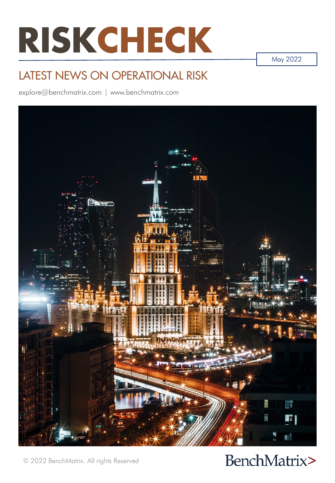# **RISKCHECK**

May 2022

### LATEST NEWS ON OPERATIONAL RISK

explore@benchmatrix.com | www.benchmatrix.com



BenchMatrix>

© 2022 BenchMatrix. All rights Reserved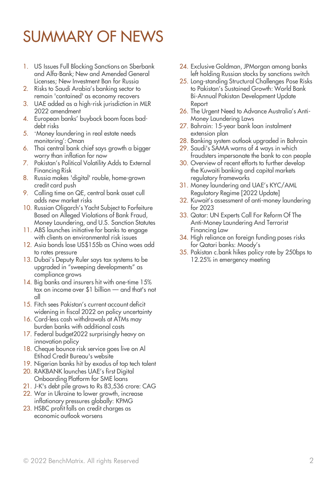# SUMMARY OF NEWS

- 1. US Issues Full Blocking Sanctions on Sberbank and Alfa-Bank; New and Amended General Licenses; New Investment Ban for Russia
- 2. Risks to Saudi Arabia's banking sector to remain 'contained' as economy recovers
- 3. UAE added as a high-risk jurisdiction in MLR 2022 amendment
- 4. European banks' buyback boom faces baddebt risks
- 5. 'Money laundering in real estate needs monitoring': Oman
- 6. Thai central bank chief says growth a bigger worry than inflation for now
- 7. Pakistan's Political Volatility Adds to External Financing Risk
- 8. Russia makes 'digital' rouble, home-grown credit card push
- 9. Calling time on QE, central bank asset cull adds new market risks
- 10. Russian Oligarch's Yacht Subject to Forfeiture Based on Alleged Violations of Bank Fraud, Money Laundering, and U.S. Sanction Statutes
- 11. ABS launches initiative for banks to engage with clients on environmental risk issues
- 12. Asia bonds lose US\$155b as China woes add to rates pressure
- 13. Dubai's Deputy Ruler says tax systems to be upgraded in "sweeping developments" as compliance grows
- 14. Big banks and insurers hit with one-time 15% tax on income over \$1 billion — and that's not all
- 15. Fitch sees Pakistan's current account deficit widening in fiscal 2022 on policy uncertainty
- 16. Card-less cash withdrawals at ATMs may burden banks with additional costs
- 17. Federal budget2022 surprisingly heavy on innovation policy
- 18. Cheque bounce risk service goes live on Al Etihad Credit Bureau's website
- 19. Nigerian banks hit by exodus of top tech talent
- 20. RAKBANK launches UAE's first Digital Onboarding Platform for SME loans
- 21. J-K's debt pile grows to Rs 83,536 crore: CAG
- 22. War in Ukraine to lower growth, increase inflationary pressures globally: KPMG
- 23. HSBC profit falls on credit charges as economic outlook worsens
- 24. Exclusive Goldman, JPMorgan among banks left holding Russian stocks by sanctions switch
- 25. Long-standing Structural Challenges Pose Risks to Pakistan's Sustained Growth: World Bank Bi-Annual Pakistan Development Update Report
- 26. The Urgent Need to Advance Australia's Anti-Money Laundering Laws
- 27. Bahrain: 15-year bank loan instalment extension plan
- 28. Banking system outlook upgraded in Bahrain
- 29. Saudi's SAMA warns of 4 ways in which fraudsters impersonate the bank to con people
- 30. Overview of recent efforts to further develop the Kuwaiti banking and capital markets regulatory frameworks
- 31. Money laundering and UAE's KYC/AML Regulatory Regime [2022 Update]
- 32. Kuwait's assessment of anti-money laundering for 2023
- 33. Qatar: UN Experts Call For Reform Of The Anti-Money Laundering And Terrorist Financing Law
- 34. High reliance on foreign funding poses risks for Qatari banks: Moody's
- 35. Pakistan c.bank hikes policy rate by 250bps to 12.25% in emergency meeting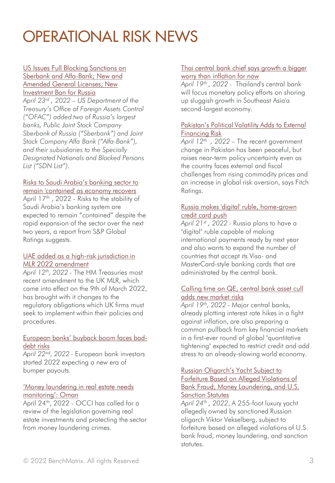#### US Issues Full Blocking Sanctions on [Sberbank and Alfa-Bank; New and](https://www.globalcompliancenews.com/2022/04/23/us-issues-full-blocking-sanctions-on-sberbank-and-alfa-bank-new-and-amended-general-licenses-new-investment-ban-for-russia/)  Amended General Licenses; New Investment Ban for Russia *April 23rd , 2022 – US Department of the Treasury's Office of Foreign Assets Control ("OFAC") added two of Russia's largest banks, Public Joint Stock Company Sberbank of Russia ("Sberbank") and Joint Stock Company Alfa Bank ("Alfa-Bank"), and their subsidiaries to the Specially Designated Nationals and Blocked Persons List ("SDN List").*

#### Risks to Saudi Arabia's banking sector to [remain 'contained' as economy recovers](https://www.thenationalnews.com/business/economy/2022/04/17/risks-to-saudi-arabias-banking-sector-to-remain-contained-as-economy-recovers/)

April 17<sup>th</sup>, 2022 - Risks to the stability of Saudi Arabia's banking system are expected to remain "contained" despite the rapid expansion of the sector over the next two years, a report from S&P Global Ratings suggests.

#### [UAE added as a high-risk jurisdiction in](https://www.lavenpartners.com/thought-leadership/uae-added-high-risk-jurisdiction-mlr-2022-/) MLR 2022 amendment

*April 12th, 2022 -* The HM Treasuries most recent amendment to the UK MLR, which came into effect on the 9th of March 2022, has brought with it changes to the regulatory obligations which UK firms must seek to implement within their policies and procedures.

#### [European banks' buyback boom faces bad](https://www.reuters.com/breakingviews/european-banks-buyback-boom-faces-bad-debt-risks-2022-04-22/)debt risks

*April 22nd, 2022 -* European bank investors started 2022 expecting a new era of bumper payouts.

#### ['Money laundering in real estate needs](https://www.zawya.com/en/business/real-estate/money-laundering-in-real-estate-needs-monitoring-oman-lubu6nrw)  monitoring': Oman

April 24<sup>th</sup>, 2022 - OCCI has called for a review of the legislation governing real estate investments and protecting the sector from money laundering crimes.

#### [Thai central bank chief says growth a bigger](https://www.businesstimes.com.sg/banking-finance/thai-central-bank-chief-says-growth-a-bigger-worry-than-inflation-for-now)  worry than inflation for now

*April 19th , 2022 -* Thailand's central bank will focus monetary policy efforts on shoring up sluggish growth in Southeast Asia'a second-largest economy.

#### [Pakistan's Political Volatility Adds to External](https://www.fitchratings.com/research/sovereigns/pakistans-political-volatility-adds-to-external-financing-risk-12-04-2022)  Financing Risk

*April 12th , 2022 –* The recent government change in Pakistan has been peaceful, but raises near-term policy uncertainty even as the country faces external and fiscal challenges from rising commodity prices and an increase in global risk aversion, says Fitch Ratings.

#### [Russia makes 'digital' ruble, home-grown](https://www.reuters.com/business/finance/russia-makes-digital-rouble-home-grown-credit-card-push-2022-04-21/)  credit card push

*April 21st , 2022 -* Russia plans to have a "digital" ruble capable of making international payments ready by next year and also wants to expand the number of countries that accept its Visa- and MasterCard-style banking cards that are administrated by the central bank.

#### [Calling time on QE, central bank asset cull](https://www.reuters.com/business/calling-time-qe-central-banks-prep-synchronized-asset-cull-2022-04-19/) adds new market risks

*April 19th, 2022 -* Major central banks, already plotting interest rate hikes in a fight against inflation, are also preparing a common pullback from key financial markets in a first-ever round of global "quantitative tightening" expected to restrict credit and add stress to an already-slowing world economy.

#### Russian Oligarch's Yacht Subject to Forfeiture Based on Alleged Violations of [Bank Fraud, Money Laundering, and U.S.](https://www.moneylaunderingnews.com/2022/04/russian-oligarchs-yacht-subject-to-forfeiture-based-on-alleged-violations-of-bank-fraud-money-laundering-and-u-s-sanction-statutes/)  Sanction Statutes

*April 24th , 2022*, A 255-foot luxury yacht allegedly owned by sanctioned Russian oligarch Viktor Vekselberg, subject to forfeiture based on alleged violations of U.S. bank fraud, money laundering, and sanction statutes.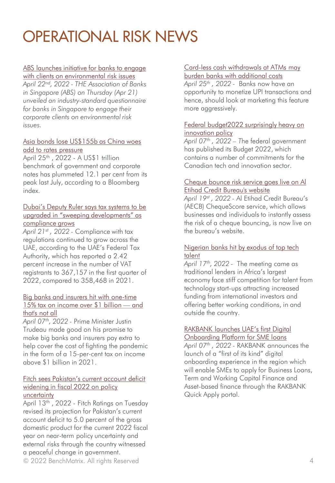#### [ABS launches initiative for banks to engage](https://www.businesstimes.com.sg/banking-finance/abs-launches-initiative-for-banks-to-engage-with-clients-on-environmental-risk-0)

with clients on environmental risk issues *April 22nd, 2022 - THE Association of Banks in Singapore (ABS) on Thursday (Apr 21) unveiled an industry-standard questionnaire for banks in Singapore to engage their corporate clients on environmental risk issues.*

#### [Asia bonds lose US\\$155b as China woes](https://www.businesstimes.com.sg/banking-finance/asia-bonds-lose-us155b-as-china-woes-add-to-rates-pressure)  add to rates pressure

April 25th , 2022 - A US\$1 trillion benchmark of government and corporate notes has plummeted 12.1 per cent from its peak last July, according to a Bloomberg index.

#### Dubai's Deputy Ruler says tax systems to be [upgraded in "sweeping developments" as](https://www.arabianbusiness.com/industries/banking-finance/dubais-deputy-ruler-says-tax-systems-to-be-upgraded-in-sweeping-developments-as-compliance-grows)  compliance grows

*April 21st , 2022 -* Compliance with tax regulations continued to grow across the UAE, according to the UAE's Federal Tax Authority, which has reported a 2.42 percent increase in the number of VAT registrants to 367,157 in the first quarter of 2022, compared to 358,468 in 2021.

#### [Big banks and insurers hit with one-time](https://financialpost.com/fp-finance/banking/big-banks-and-insurers-hit-with-one-time-15-tax-on-income-over-1-billion-and-thats-not-all)  15% tax on income over \$1 billion — and that's not all

*April 07th, 2022 -* Prime Minister Justin Trudeau made good on his promise to make big banks and insurers pay extra to help cover the cost of fighting the pandemic in the form of a 15-per-cent tax on income above \$1 billion in 2021.

#### [Fitch sees Pakistan's current account deficit](https://www.thenews.com.pk/print/949697-fitch-sees-pakistan-s-current-account-deficit-widening-in-fiscal-2022-on-policy-uncertainty)  widening in fiscal 2022 on policy uncertainty

© 2022 BenchMatrix. All rights Reserved 4 April 13<sup>th</sup>, 2022 - Fitch Ratings on Tuesday revised its projection for Pakistan's current account deficit to 5.0 percent of the gross domestic product for the current 2022 fiscal year on near-term policy uncertainty and external risks through the country witnessed a peaceful change in government.

#### [Card-less cash withdrawals at ATMs may](https://www.business-standard.com/article/finance/card-less-cash-withdrawals-at-atms-may-burden-banks-with-additional-costs-122042401024_1.html)  burden banks with additional costs

*April 25th , 2022 -* Banks now have an opportunity to monetize UPI transactions and hence, should look at marketing this feature more aggressively.

#### [Federal budget2022 surprisingly heavy on](https://betakit.com/federal-budget2022-surprisingly-heavy-on-innovation-policy/)  innovation policy

*April 07th , 2022 – T*he federal government has published its Budget 2022, which contains a number of commitments for the Canadian tech and innovation sector.

#### [Cheque bounce risk service goes live on Al](https://www.thenationalnews.com/business/money/2022/04/19/cheque-bounce-risk-service-goes-live-on-al-etihad-credit-bureaus-website/)  Etihad Credit Bureau's website

*April 19st , 2022 -* Al Etihad Credit Bureau's (AECB) ChequeScore service, which allows businesses and individuals to instantly assess the risk of a cheque bouncing, is now live on the bureau's website.

#### [Nigerian banks hit by exodus of top tech](https://www.thenationalnews.com/business/banking/2022/04/17/nigerian-banks-hit-by-exodus-of-top-tech-talent/) talent

*April 17th, 2022 -* The meeting came as traditional lenders in Africa's largest economy face stiff competition for talent from technology start-ups attracting increased funding from international investors and offering better working conditions, in and outside the country.

#### RAKBANK launches UAE's first Digital [Onboarding Platform for SME loans](https://ibsintelligence.com/ibsi-news/rakbank-launches-uaes-first-digital-onboarding-platform-for-sme-loans/)

*April 07 th , 2022 -* RAKBANK announces the launch of a "first of its kind" digital onboarding experience in the region which will enable SMEs to apply for Business Loans, Term and Working Capital Finance and Asset-based finance through the RAKBANK Quick Apply portal.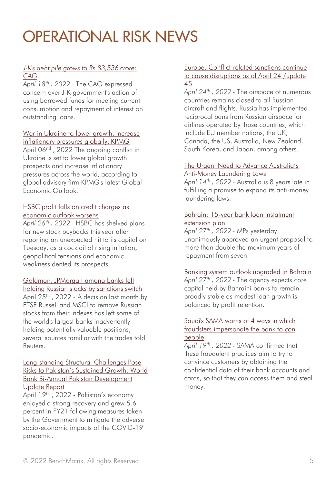#### *[J-K's debt pile grows to Rs 83,536 crore:](https://economictimes.indiatimes.com/news/economy/finance/j-ks-debt-pile-grows-to-rs-83536-crore-cag/articleshow/90917674.cms)  CAG*

*April 18th , 2022 -* The CAG expressed concern over J-K government's action of using borrowed funds for meeting current consumption and repayment of interest on outstanding loans.

#### [War in Ukraine to lower growth, increase](https://economictimes.indiatimes.com/news/economy/finance/war-in-ukraine-to-lower-growth-increase-inflationary-pressures-globally-kpmg/articleshow/90685016.cms)  inflationary pressures globally: KPMG

April 06<sup>nd</sup>, 2022 The ongoing conflict in Ukraine is set to lower global growth prospects and increase inflationary pressures across the world, according to global advisory firm KPMG's latest Global Economic Outlook.

#### [HSBC profit falls on credit charges as](https://www.reuters.com/business/hsbc-q1-pretax-profit-slides-revenues-fall-2022-04-26/) economic outlook worsens

*April 26th , 2022 -* HSBC has shelved plans for new stock buybacks this year after reporting an unexpected hit to its capital on Tuesday, as a cocktail of rising inflation, geopolitical tensions and economic weakness dented its prospects.

#### Goldman, JPMorgan among banks left

[holding Russian stocks by sanctions switch](https://www.reuters.com/business/exclusive-goldman-jpmorgan-among-banks-left-holding-russian-stocks-by-sanctions-2022-04-22/) April 25<sup>th</sup>, 2022 - A decision last month by FTSE Russell and MSCI to remove Russian stocks from their indexes has left some of the world's largest banks inadvertently holding potentially valuable positions, several sources familiar with the trades told Reuters.

#### Long-standing Structural Challenges Pose [Risks to Pakistan's Sustained Growth: World](https://www.worldbank.org/en/news/press-release/2022/04/19/long-standing-structural-challenges-pose-risks-to-pakistan-s-sustained-growth-world-bank-bi-annual-pakistan-development-) Bank Bi-Annual Pakistan Development Update Report

April 19<sup>th</sup>, 2022 - Pakistan's economy enjoyed a strong recovery and grew 5.6 percent in FY21 following measures taken by the Government to mitigate the adverse socio-economic impacts of the COVID-19 pandemic.

#### Europe: Conflict-related sanctions continue [to cause disruptions as of April 24 /update](https://crisis24.garda.com/alerts/2022/04/europe-conflict-related-sanctions-continue-to-cause-disruptions-as-of-april-24-update-45)  45

*April 24th , 2022 -* The airspace of numerous countries remains closed to all Russian aircraft and flights. Russia has implemented reciprocal bans from Russian airspace for airlines operated by those countries, which include EU member nations, the UK, Canada, the US, Australia, New Zealand, South Korea, and Japan, among others.

#### [The Urgent Need to Advance Australia's](https://thediplomat.com/2022/04/the-urgent-need-to-advance-australias-anti-money-laundering-laws/)  Anti-Money Laundering Laws

*April 14th , 2022 -* Australia is 8 years late in fulfilling a promise to expand its anti-money laundering laws.

#### [Bahrain: 15-year bank loan instalment](https://www.zawya.com/en/business/banking-and-insurance/bahrain-15-year-bank-loan-instalment-extension-plan-nwbiml3a) extension plan

*April 27th , 2022 -* MPs yesterday unanimously approved an urgent proposal to more than double the maximum years of repayment from seven.

#### [Banking system outlook upgraded in Bahrain](https://www.zawya.com/en/business/banking-and-insurance/banking-system-outlook-upgraded-in-bahrain-na1epfzd)

*April 27th , 2022 -* The agency expects core capital held by Bahraini banks to remain broadly stable as modest loan growth is balanced by profit retention.

#### Saudi's SAMA warns of 4 ways in which [fraudsters impersonate the bank to con](https://www.zawya.com/en/legal/crime-and-security/saudis-sama-warns-of-4-ways-in-which-fraudsters-impersonate-the-bank-to-con-people-k510qara)  people

*April 19th , 2022 -* SAMA confirmed that these fraudulent practices aim to try to convince customers by obtaining the confidential data of their bank accounts and cards, so that they can access them and steal money.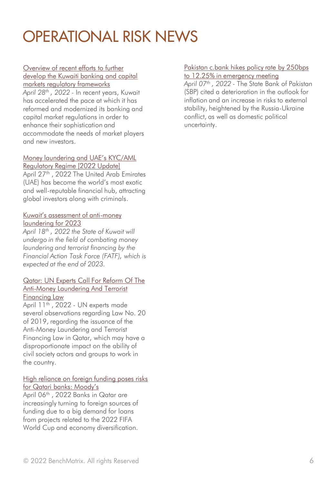#### Overview of recent efforts to further [develop the Kuwaiti banking and capital](https://www.ibanet.org/Overview-of-recent-efforts-to-further-develop-the-Kuwaiti-banking-and-capital-markets-regulatory-frameworks)  markets regulatory frameworks

*April 28th , 2022 -* In recent years, Kuwait has accelerated the pace at which it has reformed and modernized its banking and capital market regulations in order to enhance their sophistication and accommodate the needs of market players and new investors.

#### [Money laundering and UAE's KYC/AML](https://shuftipro.com/blog/money-laundering-and-uaes-kyc-aml-regulatory-regime-2022-update/)  Regulatory Regime [2022 Update]

April 27<sup>th</sup>, 2022 The United Arab Emirates (UAE) has become the world's most exotic and well-reputable financial hub, attracting global investors along with criminals.

#### [Kuwait's assessment of anti](https://www.timeskuwait.com/news/kuwaits-assessment-of-anti-money-laundering-for-2023/)-money laundering for 2023

*April 18th , 2022 the State of Kuwait will undergo in the field of combating money laundering and terrorist financing by the Financial Action Task Force (FATF), which is expected at the end of 2023.*

#### [Qatar: UN Experts Call For Reform Of The](https://www.cfjustice.org/qatar-un-experts-call-for-reform-of-the-anti-money-laundering-and-terrorist-financing-law/)  Anti-Money Laundering And Terrorist Financing Law

April 11<sup>th</sup>, 2022 - UN experts made several observations regarding Law No. 20 of 2019, regarding the issuance of the Anti-Money Laundering and Terrorist Financing Law in Qatar, which may have a disproportionate impact on the ability of civil society actors and groups to work in the country.

#### [High reliance on foreign funding poses risks](https://www.zawya.com/en/business/banking-and-insurance/high-reliance-on-foreign-funding-poses-risks-for-qatari-banks-moodys-rc3xjmbf)  for Qatari banks: Moody's

April 06<sup>th</sup> , 2022 Banks in Qatar are increasingly turning to foreign sources of funding due to a big demand for loans from projects related to the 2022 FIFA World Cup and economy diversification.

#### [Pakistan c.bank hikes policy rate by 250bps](https://www.reuters.com/business/finance/pakistan-cbank-hikes-policy-rate-by-250bps-1225-emergency-meeting-2022-04-07/)

to 12.25% in emergency meeting

*April 07th , 2022 -* The State Bank of Pakistan (SBP) cited a deterioration in the outlook for inflation and an increase in risks to external stability, heightened by the Russia-Ukraine conflict, as well as domestic political uncertainty.